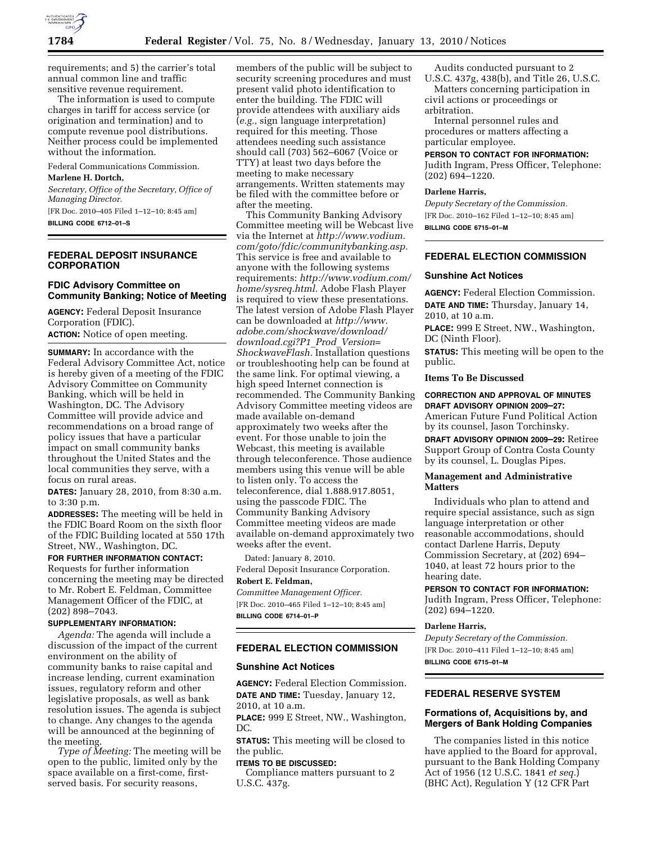

requirements; and 5) the carrier's total annual common line and traffic sensitive revenue requirement.

The information is used to compute charges in tariff for access service (or origination and termination) and to compute revenue pool distributions. Neither process could be implemented without the information.

Federal Communications Commission.

# **Marlene H. Dortch,**

*Secretary, Office of the Secretary, Office of Managing Director.* 

[FR Doc. 2010–405 Filed 1–12–10; 8:45 am] **BILLING CODE 6712–01–S** 

### **FEDERAL DEPOSIT INSURANCE CORPORATION**

# **FDIC Advisory Committee on Community Banking; Notice of Meeting**

**AGENCY:** Federal Deposit Insurance Corporation (FDIC). **ACTION:** Notice of open meeting.

**SUMMARY:** In accordance with the Federal Advisory Committee Act, notice is hereby given of a meeting of the FDIC Advisory Committee on Community Banking, which will be held in Washington, DC. The Advisory Committee will provide advice and recommendations on a broad range of policy issues that have a particular impact on small community banks throughout the United States and the local communities they serve, with a focus on rural areas.

**DATES:** January 28, 2010, from 8:30 a.m. to 3:30 p.m.

**ADDRESSES:** The meeting will be held in the FDIC Board Room on the sixth floor of the FDIC Building located at 550 17th Street, NW., Washington, DC.

## **FOR FURTHER INFORMATION CONTACT:**

Requests for further information concerning the meeting may be directed to Mr. Robert E. Feldman, Committee Management Officer of the FDIC, at (202) 898–7043.

## **SUPPLEMENTARY INFORMATION:**

*Agenda:* The agenda will include a discussion of the impact of the current environment on the ability of community banks to raise capital and increase lending, current examination issues, regulatory reform and other legislative proposals, as well as bank resolution issues. The agenda is subject to change. Any changes to the agenda will be announced at the beginning of the meeting.

*Type of Meeting:* The meeting will be open to the public, limited only by the space available on a first-come, firstserved basis. For security reasons,

members of the public will be subject to security screening procedures and must present valid photo identification to enter the building. The FDIC will provide attendees with auxiliary aids (*e.g.,* sign language interpretation) required for this meeting. Those attendees needing such assistance should call (703) 562–6067 (Voice or TTY) at least two days before the meeting to make necessary arrangements. Written statements may be filed with the committee before or after the meeting.

This Community Banking Advisory Committee meeting will be Webcast live via the Internet at *http://www.vodium. com/goto/fdic/communitybanking.asp.*  This service is free and available to anyone with the following systems requirements: *http://www.vodium.com/ home/sysreq.html.* Adobe Flash Player is required to view these presentations. The latest version of Adobe Flash Player can be downloaded at *http://www. adobe.com/shockwave/download/ download.cgi?P1*\_*Prod*\_*Version= ShockwaveFlash.* Installation questions or troubleshooting help can be found at the same link. For optimal viewing, a high speed Internet connection is recommended. The Community Banking Advisory Committee meeting videos are made available on-demand approximately two weeks after the event. For those unable to join the Webcast, this meeting is available through teleconference. Those audience members using this venue will be able to listen only. To access the teleconference, dial 1.888.917.8051, using the passcode FDIC. The Community Banking Advisory Committee meeting videos are made available on-demand approximately two weeks after the event.

Dated: January 8, 2010. Federal Deposit Insurance Corporation. **Robert E. Feldman,** 

*Committee Management Officer.*  [FR Doc. 2010–465 Filed 1–12–10; 8:45 am] **BILLING CODE 6714–01–P** 

## **FEDERAL ELECTION COMMISSION**

#### **Sunshine Act Notices**

**AGENCY:** Federal Election Commission. **DATE AND TIME:** Tuesday, January 12, 2010, at 10 a.m.

**PLACE:** 999 E Street, NW., Washington, DC.

**STATUS:** This meeting will be closed to the public.

#### **ITEMS TO BE DISCUSSED:**

Compliance matters pursuant to 2 U.S.C. 437g.

Audits conducted pursuant to 2

U.S.C. 437g, 438(b), and Title 26, U.S.C. Matters concerning participation in civil actions or proceedings or arbitration.

Internal personnel rules and procedures or matters affecting a particular employee.

#### **PERSON TO CONTACT FOR INFORMATION:**

Judith Ingram, Press Officer, Telephone: (202) 694–1220.

### **Darlene Harris,**

*Deputy Secretary of the Commission.*  [FR Doc. 2010–162 Filed 1–12–10; 8:45 am] **BILLING CODE 6715–01–M** 

### **FEDERAL ELECTION COMMISSION**

## **Sunshine Act Notices**

**AGENCY:** Federal Election Commission. **DATE AND TIME:** Thursday, January 14, 2010, at 10 a.m.

**PLACE:** 999 E Street, NW., Washington, DC (Ninth Floor).

**STATUS:** This meeting will be open to the public.

## **Items To Be Discussed**

#### **CORRECTION AND APPROVAL OF MINUTES DRAFT ADVISORY OPINION 2009–27:**

American Future Fund Political Action by its counsel, Jason Torchinsky. **DRAFT ADVISORY OPINION 2009–29:** Retiree Support Group of Contra Costa County by its counsel, L. Douglas Pipes.

### **Management and Administrative Matters**

Individuals who plan to attend and require special assistance, such as sign language interpretation or other reasonable accommodations, should contact Darlene Harris, Deputy Commission Secretary, at (202) 694– 1040, at least 72 hours prior to the hearing date.

#### **PERSON TO CONTACT FOR INFORMATION:**

Judith Ingram, Press Officer, Telephone: (202) 694–1220.

#### **Darlene Harris,**

*Deputy Secretary of the Commission.*  [FR Doc. 2010–411 Filed 1–12–10; 8:45 am] **BILLING CODE 6715–01–M** 

### **FEDERAL RESERVE SYSTEM**

## **Formations of, Acquisitions by, and Mergers of Bank Holding Companies**

The companies listed in this notice have applied to the Board for approval, pursuant to the Bank Holding Company Act of 1956 (12 U.S.C. 1841 *et seq.*) (BHC Act), Regulation Y (12 CFR Part